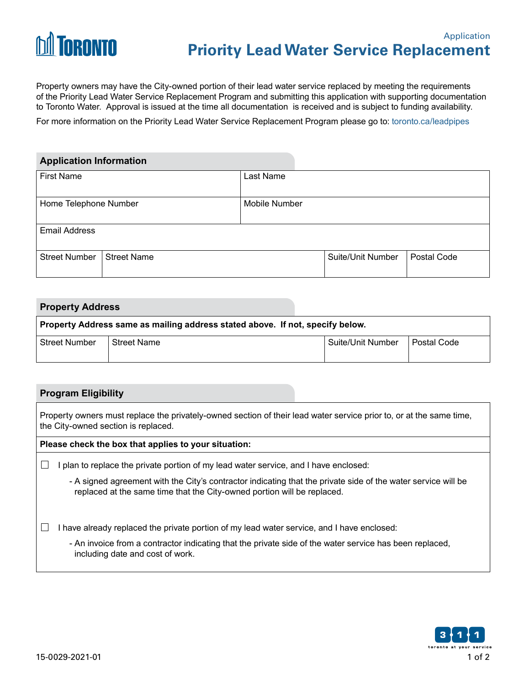

Property owners may have the City-owned portion of their lead water service replaced by meeting the requirements of the Priority Lead Water Service Replacement Program and submitting this application with supporting documentation to Toronto Water. Approval is issued at the time all documentation is received and is subject to funding availability.

For more information on the Priority Lead Water Service Replacement Program please go to: [toronto.ca/leadpipes](http://www.toronto.ca/leadpipes)

| <b>Application Information</b> |                    |                      |                   |             |
|--------------------------------|--------------------|----------------------|-------------------|-------------|
| <b>First Name</b>              |                    | Last Name            |                   |             |
| Home Telephone Number          |                    | <b>Mobile Number</b> |                   |             |
| <b>Email Address</b>           |                    |                      |                   |             |
| <b>Street Number</b>           | <b>Street Name</b> |                      | Suite/Unit Number | Postal Code |

# **Property Address Property Address same as mailing address stated above. If not, specify below.** Street Number Street Name Suite/Unit Number Postal Code

### **Program Eligibility**

| Property owners must replace the privately-owned section of their lead water service prior to, or at the same time,<br>the City-owned section is replaced. |                                                                                                                                                                                          |  |  |
|------------------------------------------------------------------------------------------------------------------------------------------------------------|------------------------------------------------------------------------------------------------------------------------------------------------------------------------------------------|--|--|
| Please check the box that applies to your situation:                                                                                                       |                                                                                                                                                                                          |  |  |
|                                                                                                                                                            | plan to replace the private portion of my lead water service, and I have enclosed:                                                                                                       |  |  |
|                                                                                                                                                            | - A signed agreement with the City's contractor indicating that the private side of the water service will be<br>replaced at the same time that the City-owned portion will be replaced. |  |  |
|                                                                                                                                                            | have already replaced the private portion of my lead water service, and I have enclosed:                                                                                                 |  |  |
|                                                                                                                                                            | - An invoice from a contractor indicating that the private side of the water service has been replaced,<br>including date and cost of work.                                              |  |  |